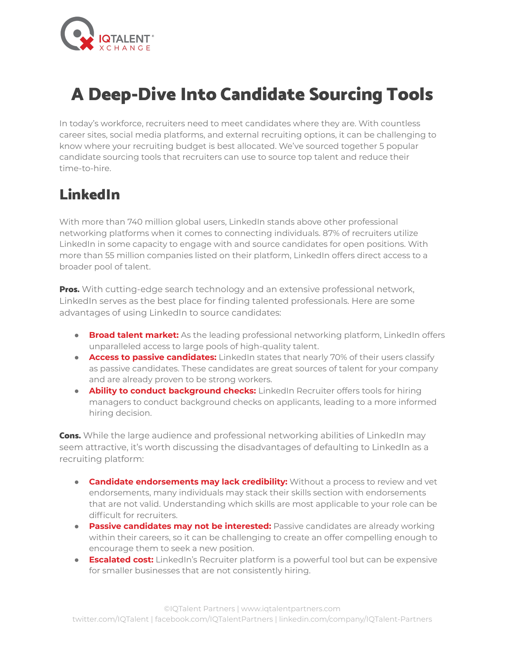

# A Deep-Dive Into Candidate Sourcing Tools

In today's workforce, recruiters need to meet candidates where they are. With countless career sites, social media platforms, and external recruiting options, it can be challenging to know where your recruiting budget is best allocated. We've sourced together 5 popular candidate sourcing tools that recruiters can use to source top talent and reduce their time-to-hire.

#### LinkedIn

With more than 740 million global users, LinkedIn stands above other professional networking platforms when it comes to connecting individuals. 87% of recruiters utilize LinkedIn in some capacity to engage with and source candidates for open positions. With more than 55 million companies listed on their platform, LinkedIn offers direct access to a broader pool of talent.

**Pros.** With cutting-edge search technology and an extensive professional network, LinkedIn serves as the best place for finding talented professionals. Here are some advantages of using LinkedIn to source candidates:

- **Broad talent market:** As the leading professional networking platform, LinkedIn offers unparalleled access to large pools of high-quality talent.
- **Access to passive candidates:** LinkedIn states that nearly 70% of their users classify as passive candidates. These candidates are great sources of talent for your company and are already proven to be strong workers.
- **Ability to conduct background checks:** LinkedIn Recruiter offers tools for hiring managers to conduct background checks on applicants, leading to a more informed hiring decision.

Cons. While the large audience and professional networking abilities of LinkedIn may seem attractive, it's worth discussing the disadvantages of defaulting to LinkedIn as a recruiting platform:

- **Candidate endorsements may lack credibility:** Without a process to review and vet endorsements, many individuals may stack their skills section with endorsements that are not valid. Understanding which skills are most applicable to your role can be difficult for recruiters.
- **Passive candidates may not be interested:** Passive candidates are already working within their careers, so it can be challenging to create an offer compelling enough to encourage them to seek a new position.
- **Escalated cost:** LinkedIn's Recruiter platform is a powerful tool but can be expensive for smaller businesses that are not consistently hiring.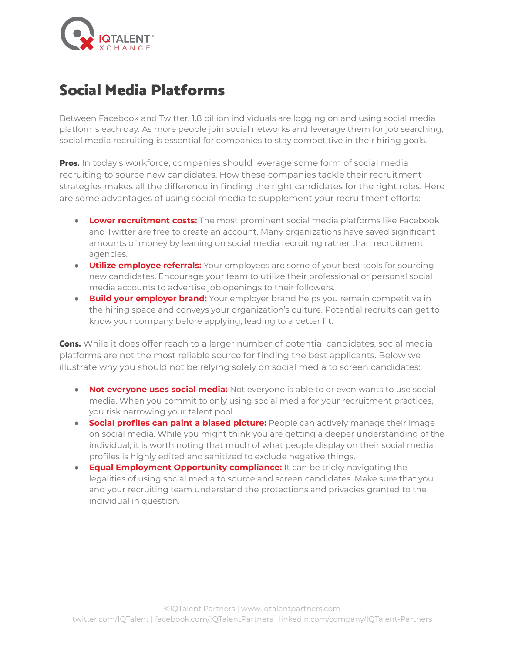

## Social Media Platforms

Between Facebook and Twitter, 1.8 billion individuals are logging on and using social media platforms each day. As more people join social networks and leverage them for job searching, social media recruiting is essential for companies to stay competitive in their hiring goals.

Pros. In today's workforce, companies should leverage some form of social media recruiting to source new candidates. How these companies tackle their recruitment strategies makes all the difference in finding the right candidates for the right roles. Here are some advantages of using social media to supplement your recruitment efforts:

- **Lower recruitment costs:** The most prominent social media platforms like Facebook and Twitter are free to create an account. Many organizations have saved significant amounts of money by leaning on social media recruiting rather than recruitment agencies.
- **Utilize employee referrals:** Your employees are some of your best tools for sourcing new candidates. Encourage your team to utilize their professional or personal social media accounts to advertise job openings to their followers.
- **Build your employer brand:** Your employer brand helps you remain competitive in the hiring space and conveys your organization's culture. Potential recruits can get to know your company before applying, leading to a better fit.

**Cons.** While it does offer reach to a larger number of potential candidates, social media platforms are not the most reliable source for finding the best applicants. Below we illustrate why you should not be relying solely on social media to screen candidates:

- **Not everyone uses social media:** Not everyone is able to or even wants to use social media. When you commit to only using social media for your recruitment practices, you risk narrowing your talent pool.
- **Social profiles can paint a biased picture:** People can actively manage their image on social media. While you might think you are getting a deeper understanding of the individual, it is worth noting that much of what people display on their social media profiles is highly edited and sanitized to exclude negative things.
- **Equal Employment Opportunity compliance:** It can be tricky navigating the legalities of using social media to source and screen candidates. Make sure that you and your recruiting team understand the protections and privacies granted to the individual in question.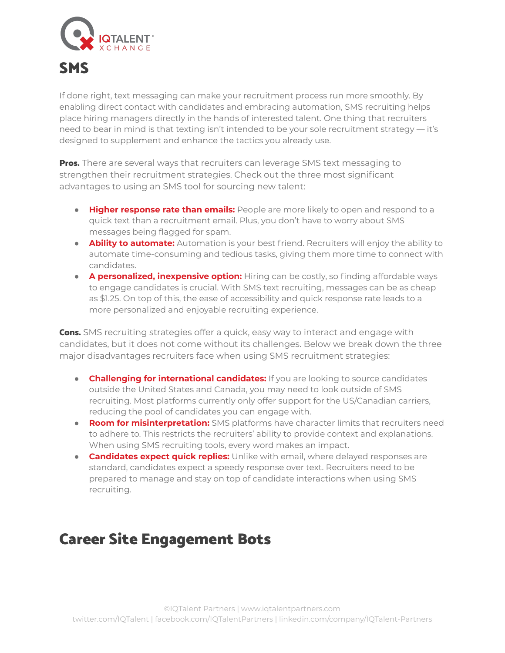

If done right, text messaging can make your recruitment process run more smoothly. By enabling direct contact with candidates and embracing automation, SMS recruiting helps place hiring managers directly in the hands of interested talent. One thing that recruiters need to bear in mind is that texting isn't intended to be your sole recruitment strategy — it's designed to supplement and enhance the tactics you already use.

**Pros.** There are several ways that recruiters can leverage SMS text messaging to strengthen their recruitment strategies. Check out the three most significant advantages to using an SMS tool for sourcing new talent:

- **Higher response rate than emails:** People are more likely to open and respond to a quick text than a recruitment email. Plus, you don't have to worry about SMS messages being flagged for spam.
- **Ability to automate:** Automation is your best friend. Recruiters will enjoy the ability to automate time-consuming and tedious tasks, giving them more time to connect with candidates.
- **A personalized, inexpensive option:** Hiring can be costly, so finding affordable ways to engage candidates is crucial. With SMS text recruiting, messages can be as cheap as \$1.25. On top of this, the ease of accessibility and quick response rate leads to a more personalized and enjoyable recruiting experience.

**Cons.** SMS recruiting strategies offer a quick, easy way to interact and engage with candidates, but it does not come without its challenges. Below we break down the three major disadvantages recruiters face when using SMS recruitment strategies:

- **Challenging for international candidates:** If you are looking to source candidates outside the United States and Canada, you may need to look outside of SMS recruiting. Most platforms currently only offer support for the US/Canadian carriers, reducing the pool of candidates you can engage with.
- **Room for misinterpretation:** SMS platforms have character limits that recruiters need to adhere to. This restricts the recruiters' ability to provide context and explanations. When using SMS recruiting tools, every word makes an impact.
- **Candidates expect quick replies:** Unlike with email, where delayed responses are standard, candidates expect a speedy response over text. Recruiters need to be prepared to manage and stay on top of candidate interactions when using SMS recruiting.

# Career Site Engagement Bots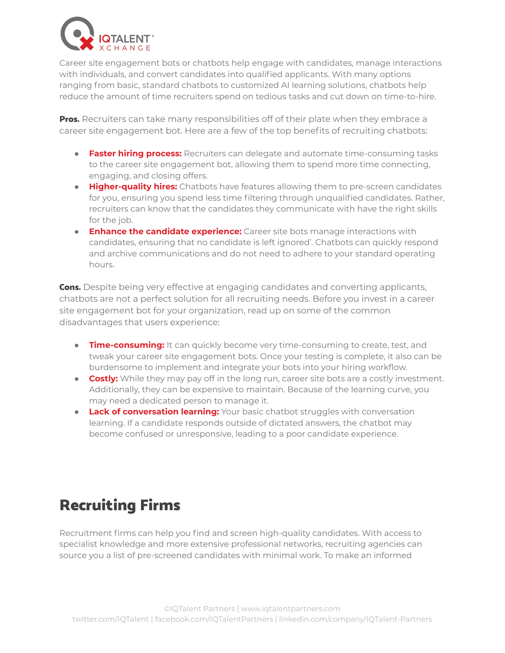

Career site engagement bots or chatbots help engage with candidates, manage interactions with individuals, and convert candidates into qualified applicants. With many options ranging from basic, standard chatbots to customized AI learning solutions, chatbots help reduce the amount of time recruiters spend on tedious tasks and cut down on time-to-hire.

Pros. Recruiters can take many responsibilities off of their plate when they embrace a career site engagement bot. Here are a few of the top benefits of recruiting chatbots:

- **Faster hiring process:** Recruiters can delegate and automate time-consuming tasks to the career site engagement bot, allowing them to spend more time connecting, engaging, and closing offers.
- **Higher-quality hires:** Chatbots have features allowing them to pre-screen candidates for you, ensuring you spend less time filtering through unqualified candidates. Rather, recruiters can know that the candidates they communicate with have the right skills for the job.
- **Enhance the candidate experience:** Career site bots manage interactions with candidates, ensuring that no candidate is left ignored'. Chatbots can quickly respond and archive communications and do not need to adhere to your standard operating hours.

**Cons.** Despite being very effective at engaging candidates and converting applicants, chatbots are not a perfect solution for all recruiting needs. Before you invest in a career site engagement bot for your organization, read up on some of the common disadvantages that users experience:

- **Time-consuming:** It can quickly become very time-consuming to create, test, and tweak your career site engagement bots. Once your testing is complete, it also can be burdensome to implement and integrate your bots into your hiring workflow.
- **Costly:** While they may pay off in the long run, career site bots are a costly investment. Additionally, they can be expensive to maintain. Because of the learning curve, you may need a dedicated person to manage it.
- **Lack of conversation learning:** Your basic chatbot struggles with conversation learning. If a candidate responds outside of dictated answers, the chatbot may become confused or unresponsive, leading to a poor candidate experience.

# Recruiting Firms

Recruitment firms can help you find and screen high-quality candidates. With access to specialist knowledge and more extensive professional networks, recruiting agencies can source you a list of pre-screened candidates with minimal work. To make an informed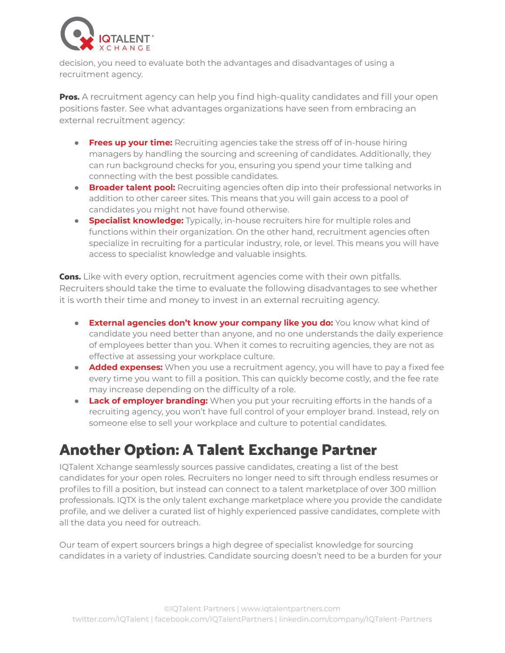

decision, you need to evaluate both the advantages and disadvantages of using a recruitment agency.

**Pros.** A recruitment agency can help you find high-quality candidates and fill your open positions faster. See what advantages organizations have seen from embracing an external recruitment agency:

- **Frees up your time:** Recruiting agencies take the stress off of in-house hiring managers by handling the sourcing and screening of candidates. Additionally, they can run background checks for you, ensuring you spend your time talking and connecting with the best possible candidates.
- **Broader talent pool:** Recruiting agencies often dip into their professional networks in addition to other career sites. This means that you will gain access to a pool of candidates you might not have found otherwise.
- **Specialist knowledge:** Typically, in-house recruiters hire for multiple roles and functions within their organization. On the other hand, recruitment agencies often specialize in recruiting for a particular industry, role, or level. This means you will have access to specialist knowledge and valuable insights.

**Cons.** Like with every option, recruitment agencies come with their own pitfalls. Recruiters should take the time to evaluate the following disadvantages to see whether it is worth their time and money to invest in an external recruiting agency.

- **External agencies don't know your company like you do:** You know what kind of candidate you need better than anyone, and no one understands the daily experience of employees better than you. When it comes to recruiting agencies, they are not as effective at assessing your workplace culture.
- **Added expenses:** When you use a recruitment agency, you will have to pay a fixed fee every time you want to fill a position. This can quickly become costly, and the fee rate may increase depending on the difficulty of a role.
- **Lack of employer branding:** When you put your recruiting efforts in the hands of a recruiting agency, you won't have full control of your employer brand. Instead, rely on someone else to sell your workplace and culture to potential candidates.

### Another Option: A Talent Exchange Partner

IQTalent Xchange seamlessly sources passive candidates, creating a list of the best candidates for your open roles. Recruiters no longer need to sift through endless resumes or profiles to fill a position, but instead can connect to a talent marketplace of over 300 million professionals. IQTX is the only talent exchange marketplace where you provide the candidate profile, and we deliver a curated list of highly experienced passive candidates, complete with all the data you need for outreach.

Our team of expert sourcers brings a high degree of specialist knowledge for sourcing candidates in a variety of industries. Candidate sourcing doesn't need to be a burden for your